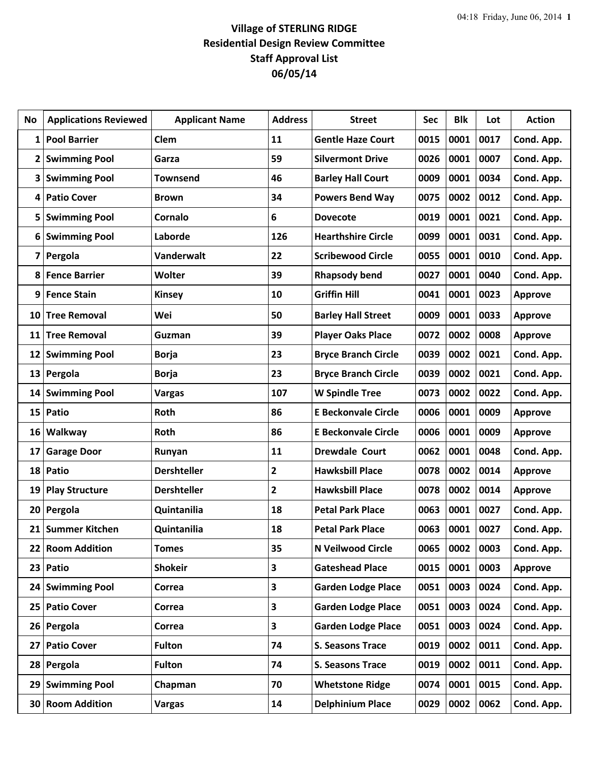## **Village of STERLING RIDGE Residential Design Review Committee Staff Approval List 06/05/14**

| No              | <b>Applications Reviewed</b> | <b>Applicant Name</b> | <b>Address</b>          | <b>Street</b>              | <b>Sec</b> | <b>Blk</b> | Lot  | <b>Action</b>  |
|-----------------|------------------------------|-----------------------|-------------------------|----------------------------|------------|------------|------|----------------|
| 1               | <b>Pool Barrier</b>          | Clem                  | 11                      | <b>Gentle Haze Court</b>   | 0015       | 0001       | 0017 | Cond. App.     |
| 2               | <b>Swimming Pool</b>         | Garza                 | 59                      | <b>Silvermont Drive</b>    | 0026       | 0001       | 0007 | Cond. App.     |
| 3               | <b>Swimming Pool</b>         | <b>Townsend</b>       | 46                      | <b>Barley Hall Court</b>   | 0009       | 0001       | 0034 | Cond. App.     |
| 4               | <b>Patio Cover</b>           | <b>Brown</b>          | 34                      | <b>Powers Bend Way</b>     | 0075       | 0002       | 0012 | Cond. App.     |
| 5               | <b>Swimming Pool</b>         | Cornalo               | 6                       | <b>Dovecote</b>            | 0019       | 0001       | 0021 | Cond. App.     |
| 6               | <b>Swimming Pool</b>         | Laborde               | 126                     | <b>Hearthshire Circle</b>  | 0099       | 0001       | 0031 | Cond. App.     |
| 7               | Pergola                      | Vanderwalt            | 22                      | <b>Scribewood Circle</b>   | 0055       | 0001       | 0010 | Cond. App.     |
| 8               | <b>Fence Barrier</b>         | <b>Wolter</b>         | 39                      | <b>Rhapsody bend</b>       | 0027       | 0001       | 0040 | Cond. App.     |
| 9               | <b>Fence Stain</b>           | <b>Kinsey</b>         | 10                      | <b>Griffin Hill</b>        | 0041       | 0001       | 0023 | <b>Approve</b> |
| 10              | <b>Tree Removal</b>          | Wei                   | 50                      | <b>Barley Hall Street</b>  | 0009       | 0001       | 0033 | <b>Approve</b> |
| 11              | <b>Tree Removal</b>          | Guzman                | 39                      | <b>Player Oaks Place</b>   | 0072       | 0002       | 0008 | <b>Approve</b> |
| 12              | <b>Swimming Pool</b>         | <b>Borja</b>          | 23                      | <b>Bryce Branch Circle</b> | 0039       | 0002       | 0021 | Cond. App.     |
| 13              | Pergola                      | <b>Borja</b>          | 23                      | <b>Bryce Branch Circle</b> | 0039       | 0002       | 0021 | Cond. App.     |
| 14              | <b>Swimming Pool</b>         | <b>Vargas</b>         | 107                     | <b>W Spindle Tree</b>      | 0073       | 0002       | 0022 | Cond. App.     |
| 15              | Patio                        | Roth                  | 86                      | <b>E Beckonvale Circle</b> | 0006       | 0001       | 0009 | <b>Approve</b> |
| 16              | Walkway                      | Roth                  | 86                      | <b>E Beckonvale Circle</b> | 0006       | 0001       | 0009 | <b>Approve</b> |
| 17              | <b>Garage Door</b>           | Runyan                | 11                      | <b>Drewdale Court</b>      | 0062       | 0001       | 0048 | Cond. App.     |
| 18              | Patio                        | <b>Dershteller</b>    | $\overline{\mathbf{2}}$ | <b>Hawksbill Place</b>     | 0078       | 0002       | 0014 | <b>Approve</b> |
| 19              | <b>Play Structure</b>        | <b>Dershteller</b>    | 2                       | <b>Hawksbill Place</b>     | 0078       | 0002       | 0014 | <b>Approve</b> |
| 20              | Pergola                      | Quintanilia           | 18                      | <b>Petal Park Place</b>    | 0063       | 0001       | 0027 | Cond. App.     |
| 21              | <b>Summer Kitchen</b>        | Quintanilia           | 18                      | <b>Petal Park Place</b>    | 0063       | 0001       | 0027 | Cond. App.     |
| 22              | <b>Room Addition</b>         | <b>Tomes</b>          | 35                      | N Veilwood Circle          | 0065       | 0002       | 0003 | Cond. App.     |
| 23              | Patio                        | <b>Shokeir</b>        | 3                       | <b>Gateshead Place</b>     | 0015       | 0001       | 0003 | Approve        |
| 24 <sub>1</sub> | <b>Swimming Pool</b>         | Correa                | 3                       | <b>Garden Lodge Place</b>  | 0051       | 0003       | 0024 | Cond. App.     |
| 25              | <b>Patio Cover</b>           | Correa                | 3                       | <b>Garden Lodge Place</b>  | 0051       | 0003       | 0024 | Cond. App.     |
| 26              | Pergola                      | Correa                | 3                       | <b>Garden Lodge Place</b>  | 0051       | 0003       | 0024 | Cond. App.     |
| 27              | <b>Patio Cover</b>           | <b>Fulton</b>         | 74                      | <b>S. Seasons Trace</b>    | 0019       | 0002       | 0011 | Cond. App.     |
| 28              | Pergola                      | <b>Fulton</b>         | 74                      | <b>S. Seasons Trace</b>    | 0019       | 0002       | 0011 | Cond. App.     |
| 29              | <b>Swimming Pool</b>         | Chapman               | 70                      | <b>Whetstone Ridge</b>     | 0074       | 0001       | 0015 | Cond. App.     |
| 30              | <b>Room Addition</b>         | <b>Vargas</b>         | 14                      | <b>Delphinium Place</b>    | 0029       | 0002       | 0062 | Cond. App.     |